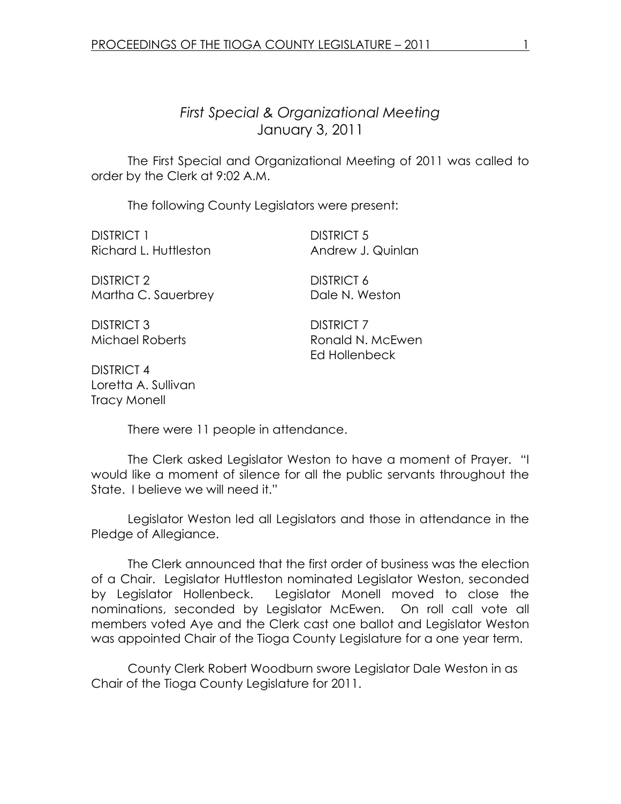# First Special & Organizational Meeting January 3, 2011

 The First Special and Organizational Meeting of 2011 was called to order by the Clerk at 9:02 A.M.

The following County Legislators were present:

DISTRICT 1 DISTRICT 5 Richard L. Huttleston **Andrew J. Quinlan** 

DISTRICT 2 DISTRICT 6 Martha C. Sauerbrey Dale N. Weston

DISTRICT 3 DISTRICT 7

Michael Roberts **Ronald N. McEwen** Ed Hollenbeck

DISTRICT 4 Loretta A. Sullivan Tracy Monell

There were 11 people in attendance.

 The Clerk asked Legislator Weston to have a moment of Prayer. "I would like a moment of silence for all the public servants throughout the State. I believe we will need it."

 Legislator Weston led all Legislators and those in attendance in the Pledge of Allegiance.

 The Clerk announced that the first order of business was the election of a Chair. Legislator Huttleston nominated Legislator Weston, seconded by Legislator Hollenbeck. Legislator Monell moved to close the nominations, seconded by Legislator McEwen. On roll call vote all members voted Aye and the Clerk cast one ballot and Legislator Weston was appointed Chair of the Tioga County Legislature for a one year term.

County Clerk Robert Woodburn swore Legislator Dale Weston in as Chair of the Tioga County Legislature for 2011.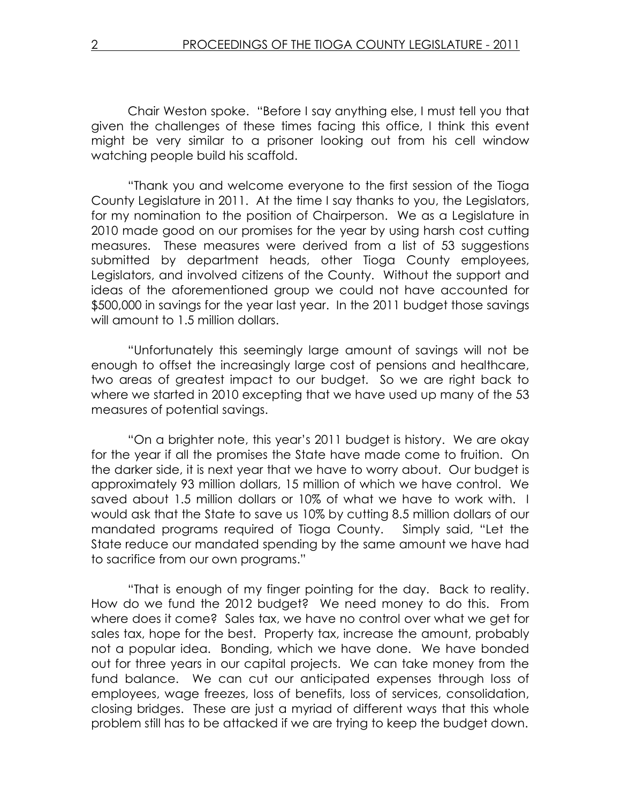Chair Weston spoke. "Before I say anything else, I must tell you that given the challenges of these times facing this office, I think this event might be very similar to a prisoner looking out from his cell window watching people build his scaffold.

"Thank you and welcome everyone to the first session of the Tioga County Legislature in 2011. At the time I say thanks to you, the Legislators, for my nomination to the position of Chairperson. We as a Legislature in 2010 made good on our promises for the year by using harsh cost cutting measures. These measures were derived from a list of 53 suggestions submitted by department heads, other Tioga County employees, Legislators, and involved citizens of the County. Without the support and ideas of the aforementioned group we could not have accounted for \$500,000 in savings for the year last year. In the 2011 budget those savings will amount to 1.5 million dollars.

 "Unfortunately this seemingly large amount of savings will not be enough to offset the increasingly large cost of pensions and healthcare, two areas of greatest impact to our budget. So we are right back to where we started in 2010 excepting that we have used up many of the 53 measures of potential savings.

 "On a brighter note, this year's 2011 budget is history. We are okay for the year if all the promises the State have made come to fruition. On the darker side, it is next year that we have to worry about. Our budget is approximately 93 million dollars, 15 million of which we have control. We saved about 1.5 million dollars or 10% of what we have to work with. I would ask that the State to save us 10% by cutting 8.5 million dollars of our mandated programs required of Tioga County. Simply said, "Let the State reduce our mandated spending by the same amount we have had to sacrifice from our own programs."

 "That is enough of my finger pointing for the day. Back to reality. How do we fund the 2012 budget? We need money to do this. From where does it come? Sales tax, we have no control over what we get for sales tax, hope for the best. Property tax, increase the amount, probably not a popular idea. Bonding, which we have done. We have bonded out for three years in our capital projects. We can take money from the fund balance. We can cut our anticipated expenses through loss of employees, wage freezes, loss of benefits, loss of services, consolidation, closing bridges. These are just a myriad of different ways that this whole problem still has to be attacked if we are trying to keep the budget down.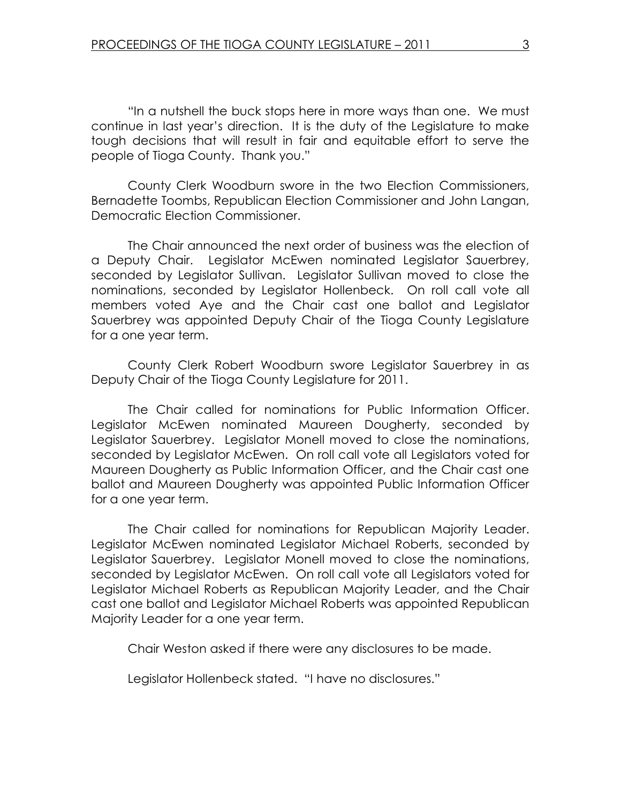"In a nutshell the buck stops here in more ways than one. We must continue in last year's direction. It is the duty of the Legislature to make tough decisions that will result in fair and equitable effort to serve the people of Tioga County. Thank you."

 County Clerk Woodburn swore in the two Election Commissioners, Bernadette Toombs, Republican Election Commissioner and John Langan, Democratic Election Commissioner.

The Chair announced the next order of business was the election of a Deputy Chair. Legislator McEwen nominated Legislator Sauerbrey, seconded by Legislator Sullivan. Legislator Sullivan moved to close the nominations, seconded by Legislator Hollenbeck. On roll call vote all members voted Aye and the Chair cast one ballot and Legislator Sauerbrey was appointed Deputy Chair of the Tioga County Legislature for a one year term.

County Clerk Robert Woodburn swore Legislator Sauerbrey in as Deputy Chair of the Tioga County Legislature for 2011.

 The Chair called for nominations for Public Information Officer. Legislator McEwen nominated Maureen Dougherty, seconded by Legislator Sauerbrey. Legislator Monell moved to close the nominations, seconded by Legislator McEwen. On roll call vote all Legislators voted for Maureen Dougherty as Public Information Officer, and the Chair cast one ballot and Maureen Dougherty was appointed Public Information Officer for a one year term.

 The Chair called for nominations for Republican Majority Leader. Legislator McEwen nominated Legislator Michael Roberts, seconded by Legislator Sauerbrey. Legislator Monell moved to close the nominations, seconded by Legislator McEwen. On roll call vote all Legislators voted for Legislator Michael Roberts as Republican Majority Leader, and the Chair cast one ballot and Legislator Michael Roberts was appointed Republican Majority Leader for a one year term.

Chair Weston asked if there were any disclosures to be made.

Legislator Hollenbeck stated. "I have no disclosures."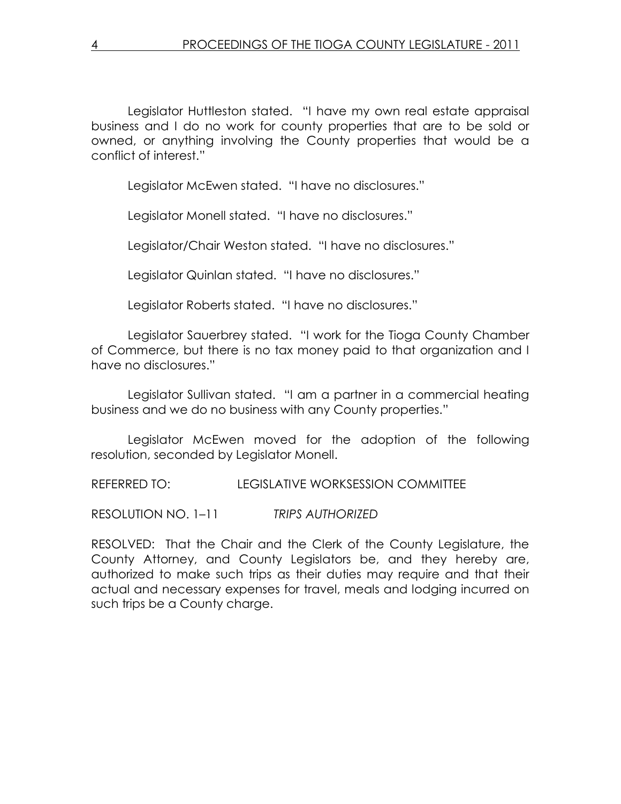Legislator Huttleston stated. "I have my own real estate appraisal business and I do no work for county properties that are to be sold or owned, or anything involving the County properties that would be a conflict of interest."

Legislator McEwen stated. "I have no disclosures."

Legislator Monell stated. "I have no disclosures."

Legislator/Chair Weston stated. "I have no disclosures."

Legislator Quinlan stated. "I have no disclosures."

Legislator Roberts stated. "I have no disclosures."

 Legislator Sauerbrey stated. "I work for the Tioga County Chamber of Commerce, but there is no tax money paid to that organization and I have no disclosures."

 Legislator Sullivan stated. "I am a partner in a commercial heating business and we do no business with any County properties."

 Legislator McEwen moved for the adoption of the following resolution, seconded by Legislator Monell.

REFERRED TO: LEGISLATIVE WORKSESSION COMMITTEE

RESOLUTION NO. 1–11 TRIPS AUTHORIZED

RESOLVED: That the Chair and the Clerk of the County Legislature, the County Attorney, and County Legislators be, and they hereby are, authorized to make such trips as their duties may require and that their actual and necessary expenses for travel, meals and lodging incurred on such trips be a County charge.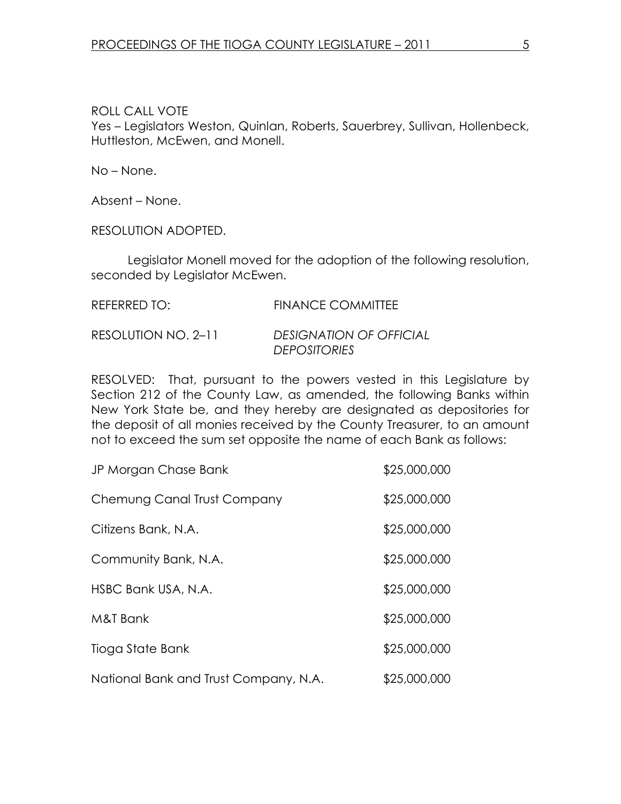No – None.

Absent – None.

RESOLUTION ADOPTED.

 Legislator Monell moved for the adoption of the following resolution, seconded by Legislator McEwen.

| REFERRED TO:        | <b>FINANCE COMMITTEE</b>                              |
|---------------------|-------------------------------------------------------|
| RESOLUTION NO. 2-11 | <b>DESIGNATION OF OFFICIAL</b><br><b>DEPOSITORIES</b> |

RESOLVED: That, pursuant to the powers vested in this Legislature by Section 212 of the County Law, as amended, the following Banks within New York State be, and they hereby are designated as depositories for the deposit of all monies received by the County Treasurer, to an amount not to exceed the sum set opposite the name of each Bank as follows:

| JP Morgan Chase Bank                  | \$25,000,000 |
|---------------------------------------|--------------|
| Chemung Canal Trust Company           | \$25,000,000 |
| Citizens Bank, N.A.                   | \$25,000,000 |
| Community Bank, N.A.                  | \$25,000,000 |
| HSBC Bank USA, N.A.                   | \$25,000,000 |
| M&T Bank                              | \$25,000,000 |
| Tioga State Bank                      | \$25,000,000 |
| National Bank and Trust Company, N.A. | \$25,000,000 |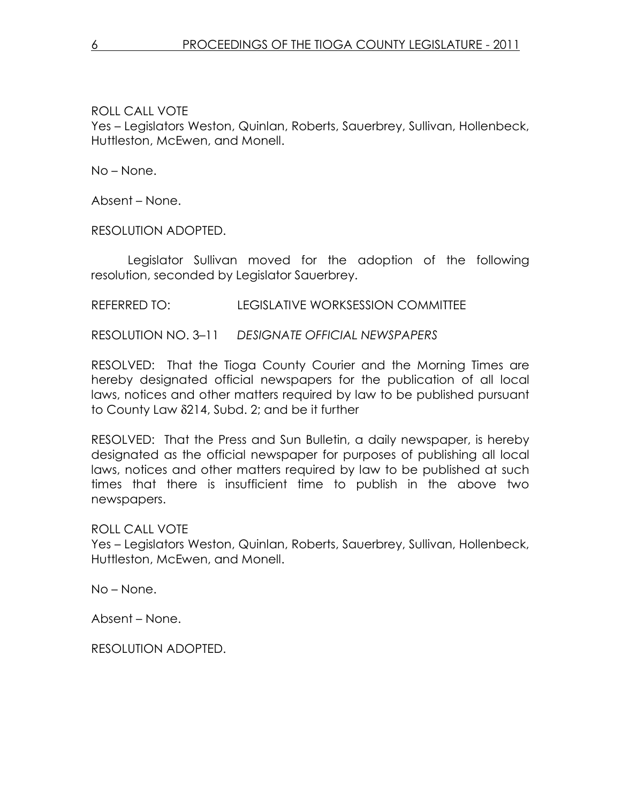No – None.

Absent – None.

RESOLUTION ADOPTED.

 Legislator Sullivan moved for the adoption of the following resolution, seconded by Legislator Sauerbrey.

#### REFERRED TO: LEGISLATIVE WORKSESSION COMMITTEE

RESOLUTION NO. 3–11 DESIGNATE OFFICIAL NEWSPAPERS

RESOLVED: That the Tioga County Courier and the Morning Times are hereby designated official newspapers for the publication of all local laws, notices and other matters required by law to be published pursuant to County Law δ214, Subd. 2; and be it further

RESOLVED: That the Press and Sun Bulletin, a daily newspaper, is hereby designated as the official newspaper for purposes of publishing all local laws, notices and other matters required by law to be published at such times that there is insufficient time to publish in the above two newspapers.

## ROLL CALL VOTE

Yes – Legislators Weston, Quinlan, Roberts, Sauerbrey, Sullivan, Hollenbeck, Huttleston, McEwen, and Monell.

No – None.

Absent – None.

RESOLUTION ADOPTED.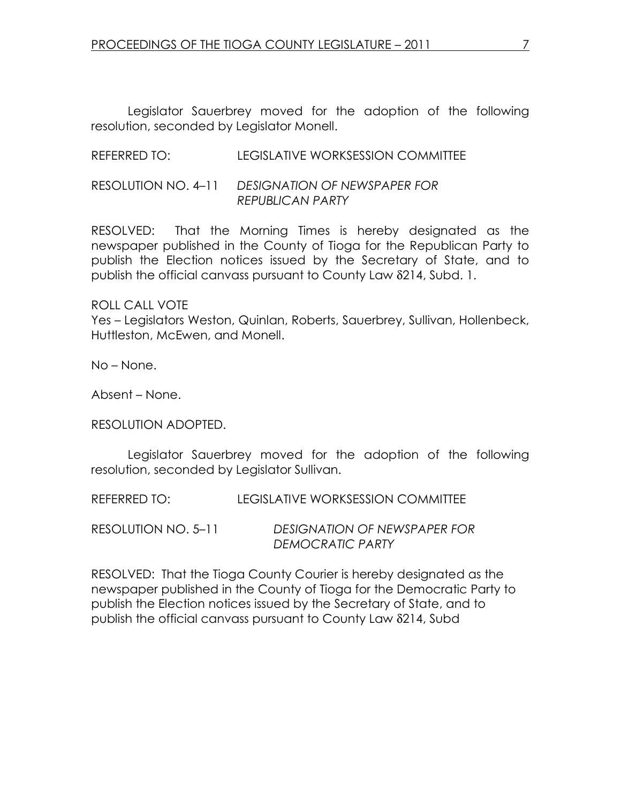Legislator Sauerbrey moved for the adoption of the following resolution, seconded by Legislator Monell.

### REFERRED TO: LEGISLATIVE WORKSESSION COMMITTEE

#### RESOLUTION NO. 4–11 DESIGNATION OF NEWSPAPER FOR REPUBLICAN PARTY

RESOLVED: That the Morning Times is hereby designated as the newspaper published in the County of Tioga for the Republican Party to publish the Election notices issued by the Secretary of State, and to publish the official canvass pursuant to County Law δ214, Subd. 1.

ROLL CALL VOTE Yes – Legislators Weston, Quinlan, Roberts, Sauerbrey, Sullivan, Hollenbeck, Huttleston, McEwen, and Monell.

No – None.

Absent – None.

RESOLUTION ADOPTED.

 Legislator Sauerbrey moved for the adoption of the following resolution, seconded by Legislator Sullivan.

REFERRED TO: LEGISLATIVE WORKSESSION COMMITTEE

RESOLUTION NO. 5–11 DESIGNATION OF NEWSPAPER FOR DEMOCRATIC PARTY

RESOLVED: That the Tioga County Courier is hereby designated as the newspaper published in the County of Tioga for the Democratic Party to publish the Election notices issued by the Secretary of State, and to publish the official canvass pursuant to County Law δ214, Subd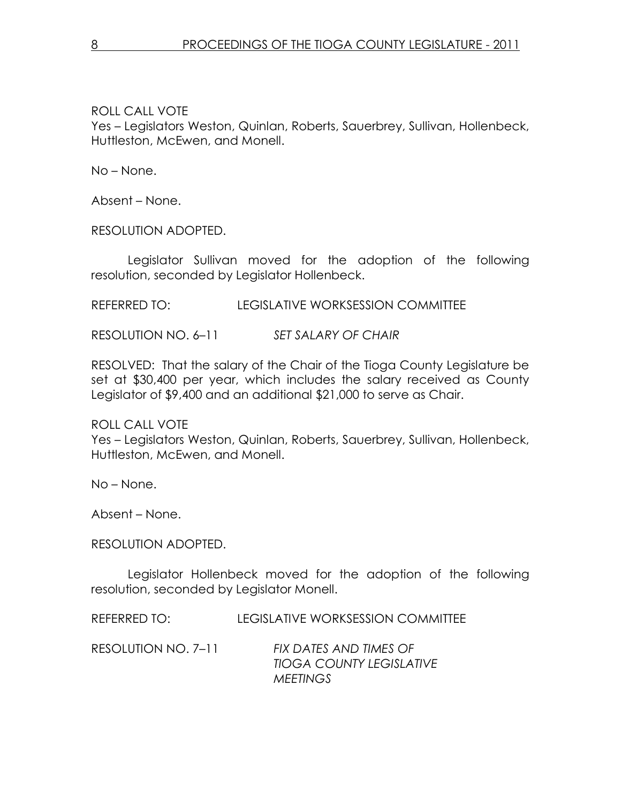No – None.

Absent – None.

RESOLUTION ADOPTED.

 Legislator Sullivan moved for the adoption of the following resolution, seconded by Legislator Hollenbeck.

REFERRED TO: LEGISLATIVE WORKSESSION COMMITTEE

RESOLUTION NO.  $6-11$  SET SALARY OF CHAIR

RESOLVED: That the salary of the Chair of the Tioga County Legislature be set at \$30,400 per year, which includes the salary received as County Legislator of \$9,400 and an additional \$21,000 to serve as Chair.

ROLL CALL VOTE Yes – Legislators Weston, Quinlan, Roberts, Sauerbrey, Sullivan, Hollenbeck, Huttleston, McEwen, and Monell.

No – None.

Absent – None.

RESOLUTION ADOPTED.

 Legislator Hollenbeck moved for the adoption of the following resolution, seconded by Legislator Monell.

REFERRED TO: LEGISLATIVE WORKSESSION COMMITTEE

RESOLUTION NO. 7–11 FIX DATES AND TIMES OF TIOGA COUNTY LEGISLATIVE **MEETINGS**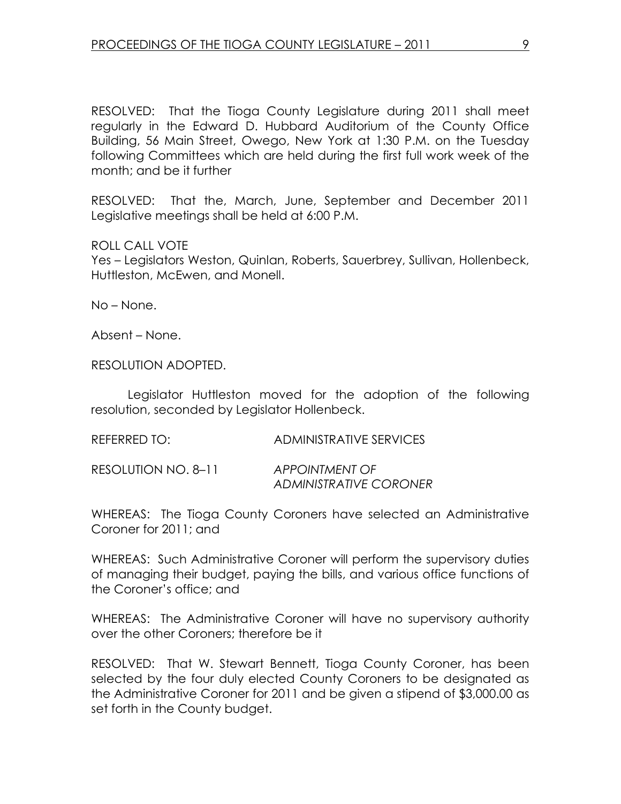RESOLVED: That the Tioga County Legislature during 2011 shall meet regularly in the Edward D. Hubbard Auditorium of the County Office Building, 56 Main Street, Owego, New York at 1:30 P.M. on the Tuesday following Committees which are held during the first full work week of the month; and be it further

RESOLVED: That the, March, June, September and December 2011 Legislative meetings shall be held at 6:00 P.M.

#### ROLL CALL VOTE

Yes – Legislators Weston, Quinlan, Roberts, Sauerbrey, Sullivan, Hollenbeck, Huttleston, McEwen, and Monell.

No – None.

Absent – None.

RESOLUTION ADOPTED.

 Legislator Huttleston moved for the adoption of the following resolution, seconded by Legislator Hollenbeck.

RESOLUTION NO. 8-11 APPOINTMENT OF ADMINISTRATIVE CORONER

WHEREAS: The Tioga County Coroners have selected an Administrative Coroner for 2011; and

WHEREAS: Such Administrative Coroner will perform the supervisory duties of managing their budget, paying the bills, and various office functions of the Coroner's office; and

WHEREAS: The Administrative Coroner will have no supervisory authority over the other Coroners; therefore be it

RESOLVED: That W. Stewart Bennett, Tioga County Coroner, has been selected by the four duly elected County Coroners to be designated as the Administrative Coroner for 2011 and be given a stipend of \$3,000.00 as set forth in the County budget.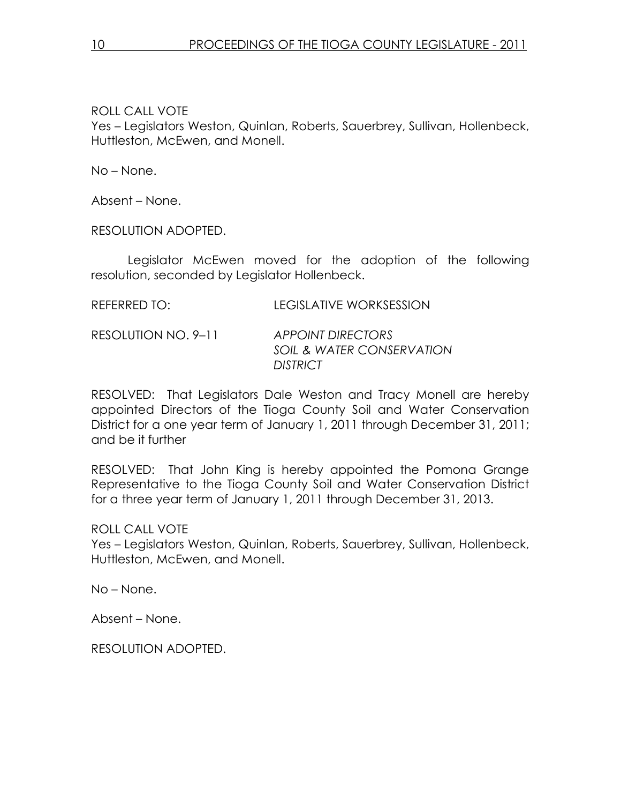No – None.

Absent – None.

RESOLUTION ADOPTED.

 Legislator McEwen moved for the adoption of the following resolution, seconded by Legislator Hollenbeck.

| REFERRED TO: | <b>LEGISLATIVE WORKSESSION</b> |
|--------------|--------------------------------|
|              |                                |

RESOLUTION NO. 9–11 APPOINT DIRECTORS SOIL & WATER CONSERVATION **DISTRICT** 

RESOLVED: That Legislators Dale Weston and Tracy Monell are hereby appointed Directors of the Tioga County Soil and Water Conservation District for a one year term of January 1, 2011 through December 31, 2011; and be it further

RESOLVED: That John King is hereby appointed the Pomona Grange Representative to the Tioga County Soil and Water Conservation District for a three year term of January 1, 2011 through December 31, 2013.

ROLL CALL VOTE

Yes – Legislators Weston, Quinlan, Roberts, Sauerbrey, Sullivan, Hollenbeck, Huttleston, McEwen, and Monell.

No – None.

Absent – None.

RESOLUTION ADOPTED.